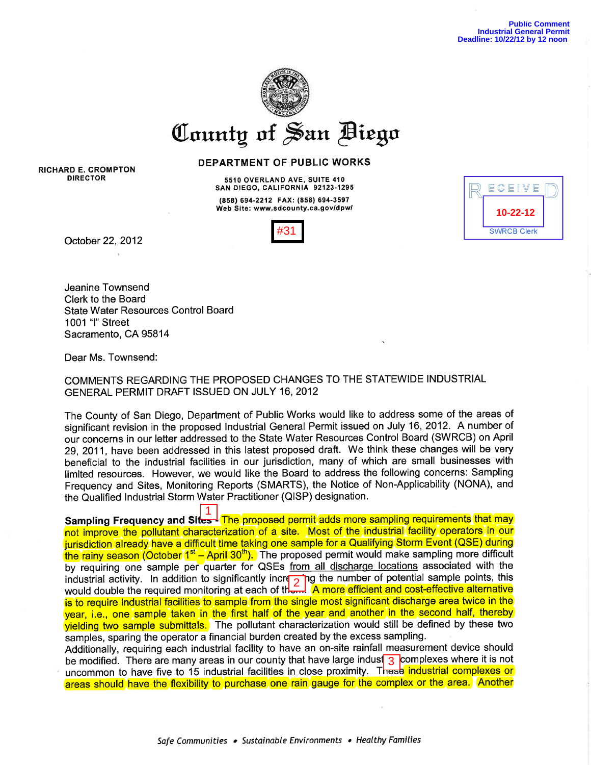

RICHARD E. CROMPTON DIRECTOR

DEPARTMENT OF PUBLIC WORKS

55IO OVERLAND AVE, SUITE 4IO SAN DIEGO, CALIFORNIA 92123-1295 <sup>18581</sup>694-2212 FAx: (8s8) 694-3s97 Web Site: www.sdcounty.ca.gov/dpw/



October 22,2012

Jeanine Townsend Clerk to the Board State Water Resources Control Board 1001 '1" Street Sacramento, CA 95814

Dear Ms. Townsend:

COMMENTS REGARDING THE PROPOSED CHANGES TO THE STATEWIDE INDUSTRIAL GENERAL PERMIT DRAFT ISSUED ON JULY 16,2012

The County of San Diego, Department of Public Works would like to address some of the areas of significant revision in the proposed lndustrial General Permit issued on July 16,2012. A number of our concerns in our letter addressed to the State Water Resources Control Board (SWRCB) on April 29,2011, have been addressed in this latest proposed draft. We think these changes will be very beneficial to the industrial facilities in our jurisdiction, many of which are small businesses with limited resources. However, we would like the Board to address the following concerns: Sampling Frequency and Sites, Monitoring Reports (SMARTS), the Notice of Non-Applicability (NONA), and the Qualified Industrial Storm Water Practitioner (QISP) designation.

Sampling Frequency and Sites- The proposed permit adds more sampling requirements that may not improve the pollutant characterization of a site. Most of the industrial facility operators in our jurisdiction already have a difficult time taking one sample for a Qualifying Storm Event (QSE) during the rainy season (October 1<sup>st</sup> - April 30<sup>th</sup>). The proposed permit would make sampling more difficult by requiring one sample per quarter for QSEs from all discharge locations associated with the industrial activity. In addition to significantly increasing the number of potential sample points, this would double the required monitoring at each of them. A more efficient and cost-effective alternative is to require industrial facilities to sample from the single most significant discharge area twice in the year, i.e., one sample taken in the first half of the year and another in the second half, thereby yielding two sample submittals. The pollutant characterization would still be defined by these two samples, sparing the operator a financial burden created by the excess sampling. **EXECUTE 15**<br> **EXECUTE:**<br> **EXECUTE:**<br> **EXECUTE:**<br> **EXECUTE:**<br> **EXECUTE:**<br> **EXECUTE:**<br> **EXECUTE:**<br> **EXECUTE:**<br> **EXECUTE:**<br> **EXECUTE:**<br> **EXECUTE:**<br> **EXECUTE:**<br> **EXECUTE:**<br> **EXECUTE:**<br> **EXECUTE:**<br> **EXECUTE:**<br> **EXECUTE:**<br> **EX** 

Additionally, requiring each industrial facility to have an on-site rainfall measurement device should be modified. There are many areas in our county that have large indust 3 complexes where it is not uncommon to have five to 15 industrial facilities in close proximity. These industrial complexes or areas should have the flexibility to purchase one rain gauge for the complex or the area. Another